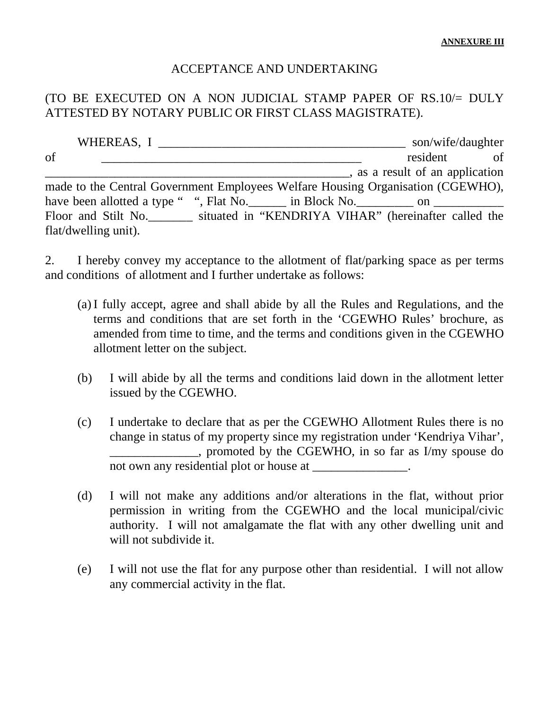## ACCEPTANCE AND UNDERTAKING

## (TO BE EXECUTED ON A NON JUDICIAL STAMP PAPER OF RS.10/= DULY ATTESTED BY NOTARY PUBLIC OR FIRST CLASS MAGISTRATE).

| WHEREAS, I                                                                              | son/wife/daughter                        |
|-----------------------------------------------------------------------------------------|------------------------------------------|
| of                                                                                      | resident<br>of                           |
|                                                                                         | $\alpha$ , as a result of an application |
| made to the Central Government Employees Welfare Housing Organisation (CGEWHO),         |                                          |
| have been allotted a type " ", Flat No. _______ in Block No. _________ on _____________ |                                          |
| Floor and Stilt No. situated in "KENDRIYA VIHAR" (hereinafter called the                |                                          |
| flat/dwelling unit).                                                                    |                                          |

2. I hereby convey my acceptance to the allotment of flat/parking space as per terms and conditions of allotment and I further undertake as follows:

- (a) I fully accept, agree and shall abide by all the Rules and Regulations, and the terms and conditions that are set forth in the 'CGEWHO Rules' brochure, as amended from time to time, and the terms and conditions given in the CGEWHO allotment letter on the subject.
- (b) I will abide by all the terms and conditions laid down in the allotment letter issued by the CGEWHO.
- (c) I undertake to declare that as per the CGEWHO Allotment Rules there is no change in status of my property since my registration under 'Kendriya Vihar', \_\_\_\_\_\_\_\_\_\_\_\_\_\_, promoted by the CGEWHO, in so far as I/my spouse do not own any residential plot or house at \_\_\_\_\_\_\_\_\_\_\_\_\_\_.
- (d) I will not make any additions and/or alterations in the flat, without prior permission in writing from the CGEWHO and the local municipal/civic authority. I will not amalgamate the flat with any other dwelling unit and will not subdivide it.
- (e) I will not use the flat for any purpose other than residential. I will not allow any commercial activity in the flat.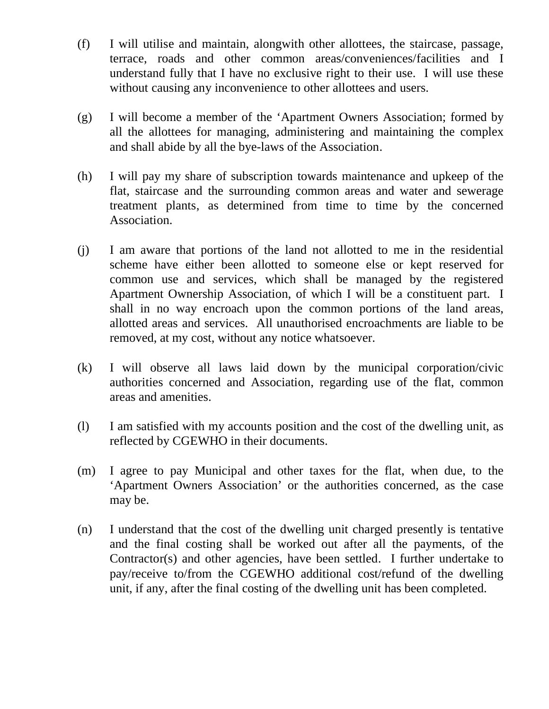- (f) I will utilise and maintain, alongwith other allottees, the staircase, passage, terrace, roads and other common areas/conveniences/facilities and I understand fully that I have no exclusive right to their use. I will use these without causing any inconvenience to other allottees and users.
- (g) I will become a member of the 'Apartment Owners Association; formed by all the allottees for managing, administering and maintaining the complex and shall abide by all the bye-laws of the Association.
- (h) I will pay my share of subscription towards maintenance and upkeep of the flat, staircase and the surrounding common areas and water and sewerage treatment plants, as determined from time to time by the concerned Association.
- (j) I am aware that portions of the land not allotted to me in the residential scheme have either been allotted to someone else or kept reserved for common use and services, which shall be managed by the registered Apartment Ownership Association, of which I will be a constituent part. I shall in no way encroach upon the common portions of the land areas, allotted areas and services. All unauthorised encroachments are liable to be removed, at my cost, without any notice whatsoever.
- (k) I will observe all laws laid down by the municipal corporation/civic authorities concerned and Association, regarding use of the flat, common areas and amenities.
- (l) I am satisfied with my accounts position and the cost of the dwelling unit, as reflected by CGEWHO in their documents.
- (m) I agree to pay Municipal and other taxes for the flat, when due, to the 'Apartment Owners Association' or the authorities concerned, as the case may be.
- (n) I understand that the cost of the dwelling unit charged presently is tentative and the final costing shall be worked out after all the payments, of the Contractor(s) and other agencies, have been settled. I further undertake to pay/receive to/from the CGEWHO additional cost/refund of the dwelling unit, if any, after the final costing of the dwelling unit has been completed.